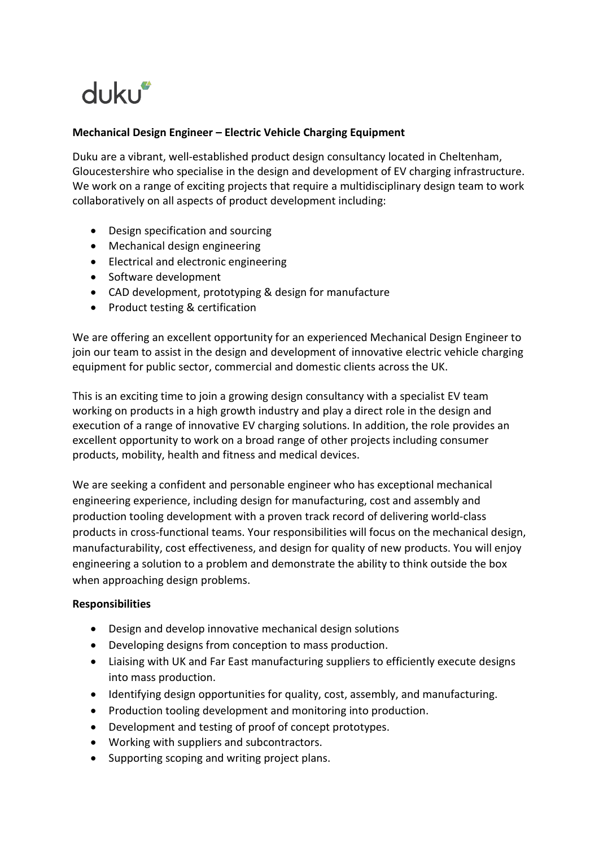# dukur

## **Mechanical Design Engineer – Electric Vehicle Charging Equipment**

Duku are a vibrant, well-established product design consultancy located in Cheltenham, Gloucestershire who specialise in the design and development of EV charging infrastructure. We work on a range of exciting projects that require a multidisciplinary design team to work collaboratively on all aspects of product development including:

- Design specification and sourcing
- Mechanical design engineering
- Electrical and electronic engineering
- Software development
- CAD development, prototyping & design for manufacture
- Product testing & certification

We are offering an excellent opportunity for an experienced Mechanical Design Engineer to join our team to assist in the design and development of innovative electric vehicle charging equipment for public sector, commercial and domestic clients across the UK.

This is an exciting time to join a growing design consultancy with a specialist EV team working on products in a high growth industry and play a direct role in the design and execution of a range of innovative EV charging solutions. In addition, the role provides an excellent opportunity to work on a broad range of other projects including consumer products, mobility, health and fitness and medical devices.

We are seeking a confident and personable engineer who has exceptional mechanical engineering experience, including design for manufacturing, cost and assembly and production tooling development with a proven track record of delivering world-class products in cross-functional teams. Your responsibilities will focus on the mechanical design, manufacturability, cost effectiveness, and design for quality of new products. You will enjoy engineering a solution to a problem and demonstrate the ability to think outside the box when approaching design problems.

#### **Responsibilities**

- Design and develop innovative mechanical design solutions
- Developing designs from conception to mass production.
- Liaising with UK and Far East manufacturing suppliers to efficiently execute designs into mass production.
- Identifying design opportunities for quality, cost, assembly, and manufacturing.
- Production tooling development and monitoring into production.
- Development and testing of proof of concept prototypes.
- Working with suppliers and subcontractors.
- Supporting scoping and writing project plans.